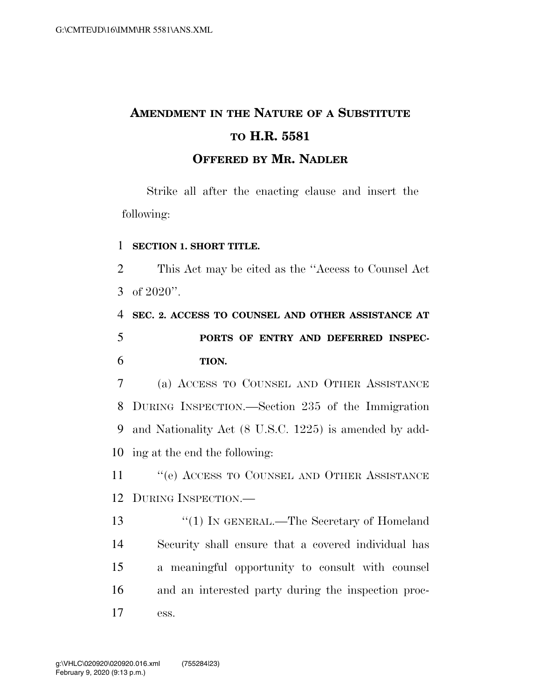## **AMENDMENT IN THE NATURE OF A SUBSTITUTE TO H.R. 5581**

## **OFFERED BY MR. NADLER**

Strike all after the enacting clause and insert the following:

## 1 **SECTION 1. SHORT TITLE.**

2 This Act may be cited as the ''Access to Counsel Act 3 of 2020''.

4 **SEC. 2. ACCESS TO COUNSEL AND OTHER ASSISTANCE AT**  5 **PORTS OF ENTRY AND DEFERRED INSPEC-**6 **TION.** 

 (a) ACCESS TO COUNSEL AND OTHER ASSISTANCE DURING INSPECTION.—Section 235 of the Immigration and Nationality Act (8 U.S.C. 1225) is amended by add-ing at the end the following:

11 " (e) ACCESS TO COUNSEL AND OTHER ASSISTANCE 12 DURING INSPECTION.—

13 ''(1) IN GENERAL.—The Secretary of Homeland 14 Security shall ensure that a covered individual has 15 a meaningful opportunity to consult with counsel 16 and an interested party during the inspection proc-17 ess.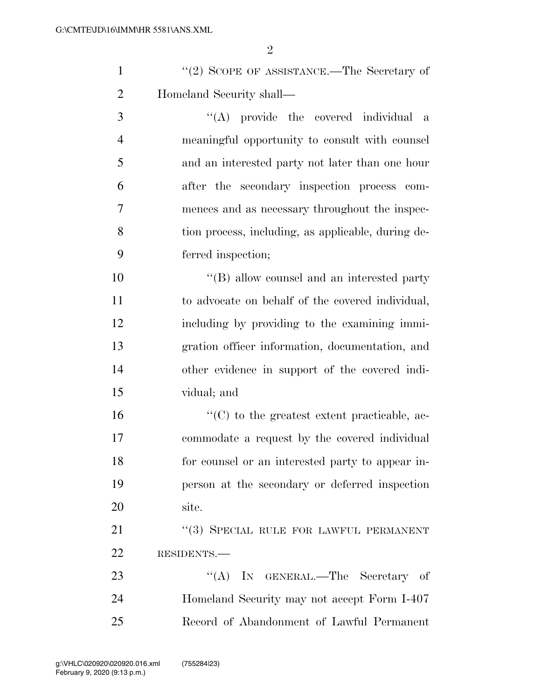|     | $''(2)$ SCOPE OF ASSISTANCE.—The Secretary of  |
|-----|------------------------------------------------|
| 2   | Homeland Security shall—                       |
| - 3 | "(A) provide the covered individual a          |
|     | meaningful opportunity to consult with counsel |

 and an interested party not later than one hour after the secondary inspection process com- mences and as necessary throughout the inspec- tion process, including, as applicable, during de-ferred inspection;

 $\langle$  ''(B) allow counsel and an interested party to advocate on behalf of the covered individual, including by providing to the examining immi- gration officer information, documentation, and other evidence in support of the covered indi-vidual; and

 ''(C) to the greatest extent practicable, ac- commodate a request by the covered individual for counsel or an interested party to appear in- person at the secondary or deferred inspection site.

21 "(3) SPECIAL RULE FOR LAWFUL PERMANENT RESIDENTS.—

23 "(A) IN GENERAL.—The Secretary of Homeland Security may not accept Form I-407 Record of Abandonment of Lawful Permanent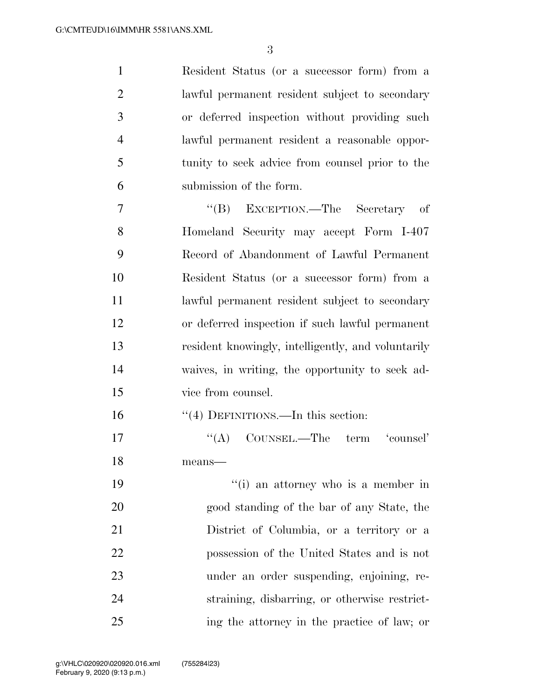Resident Status (or a successor form) from a lawful permanent resident subject to secondary or deferred inspection without providing such lawful permanent resident a reasonable oppor- tunity to seek advice from counsel prior to the submission of the form.

 ''(B) EXCEPTION.—The Secretary of Homeland Security may accept Form I-407 Record of Abandonment of Lawful Permanent Resident Status (or a successor form) from a lawful permanent resident subject to secondary or deferred inspection if such lawful permanent resident knowingly, intelligently, and voluntarily waives, in writing, the opportunity to seek ad-vice from counsel.

16 ''(4) DEFINITIONS.—In this section:

17 ''(A) COUNSEL.—The term 'counsel' means—

19 ''(i) an attorney who is a member in good standing of the bar of any State, the District of Columbia, or a territory or a possession of the United States and is not under an order suspending, enjoining, re- straining, disbarring, or otherwise restrict-ing the attorney in the practice of law; or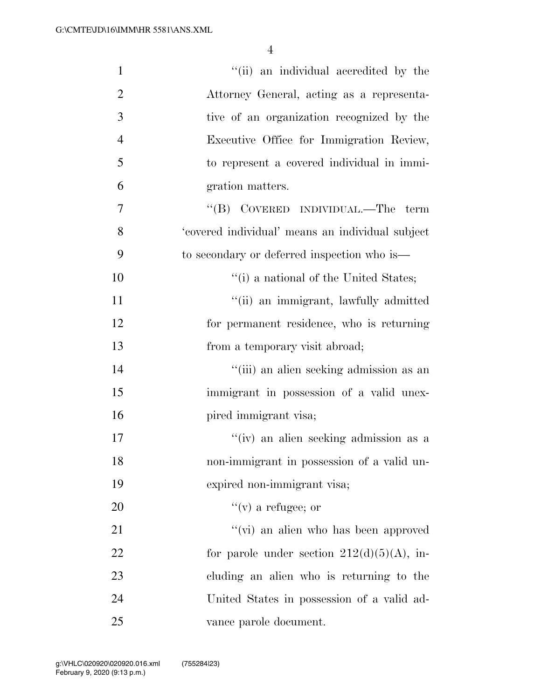| $\mathbf{1}$   | "(ii) an individual accredited by the            |
|----------------|--------------------------------------------------|
| $\overline{2}$ | Attorney General, acting as a representa-        |
| 3              | tive of an organization recognized by the        |
| $\overline{4}$ | Executive Office for Immigration Review,         |
| 5              | to represent a covered individual in immi-       |
| 6              | gration matters.                                 |
| 7              | "(B) COVERED INDIVIDUAL.—The<br>term             |
| 8              | 'covered individual' means an individual subject |
| 9              | to secondary or deferred inspection who is—      |
| 10             | "(i) a national of the United States;            |
| 11             | "(ii) an immigrant, lawfully admitted            |
| 12             | for permanent residence, who is returning        |
| 13             | from a temporary visit abroad;                   |
| 14             | "(iii) an alien seeking admission as an          |
| 15             | immigrant in possession of a valid unex-         |
| 16             | pired immigrant visa;                            |
| 17             | "(iv) an alien seeking admission as a            |
| 18             | non-immigrant in possession of a valid un-       |
| 19             | expired non-immigrant visa;                      |
| 20             | $f'(v)$ a refugee; or                            |
| 21             | "(vi) an alien who has been approved             |
| 22             | for parole under section $212(d)(5)(A)$ , in-    |
| 23             | cluding an alien who is returning to the         |
| 24             | United States in possession of a valid ad-       |
| 25             | vance parole document.                           |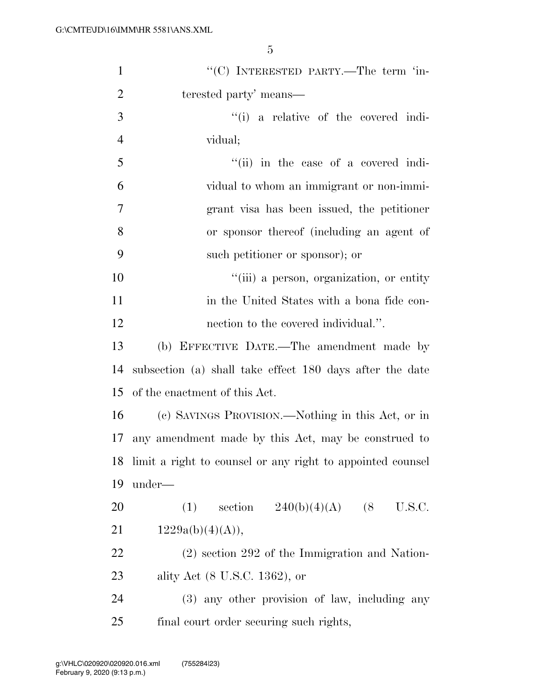| $\mathbf{1}$   | "(C) INTERESTED PARTY.—The term 'in-                          |
|----------------|---------------------------------------------------------------|
| $\overline{2}$ | terested party' means—                                        |
| 3              | "(i) a relative of the covered indi-                          |
| $\overline{4}$ | vidual;                                                       |
| 5              | "(ii) in the case of a covered indi-                          |
| 6              | vidual to whom an immigrant or non-immi-                      |
| 7              | grant visa has been issued, the petitioner                    |
| 8              | or sponsor thereof (including an agent of                     |
| 9              | such petitioner or sponsor); or                               |
| 10             | "(iii) a person, organization, or entity                      |
| 11             | in the United States with a bona fide con-                    |
| 12             | nection to the covered individual.".                          |
| 13             | (b) EFFECTIVE DATE.—The amendment made by                     |
| 14             | subsection (a) shall take effect 180 days after the date      |
| 15             | of the enactment of this Act.                                 |
| 16             | (c) SAVINGS PROVISION.—Nothing in this Act, or in             |
| 17             | any amendment made by this Act, may be construed to           |
|                | 18 limit a right to counsel or any right to appointed counsel |
| 19             | under—                                                        |
| 20             | section $240(b)(4)(A)$ (8<br>U.S.C.<br>(1)                    |
| 21             | 1229a(b)(4)(A)),                                              |
| 22             | $(2)$ section 292 of the Immigration and Nation-              |
| 23             | ality Act (8 U.S.C. 1362), or                                 |
| 24             | (3) any other provision of law, including any                 |
| 25             | final court order securing such rights,                       |